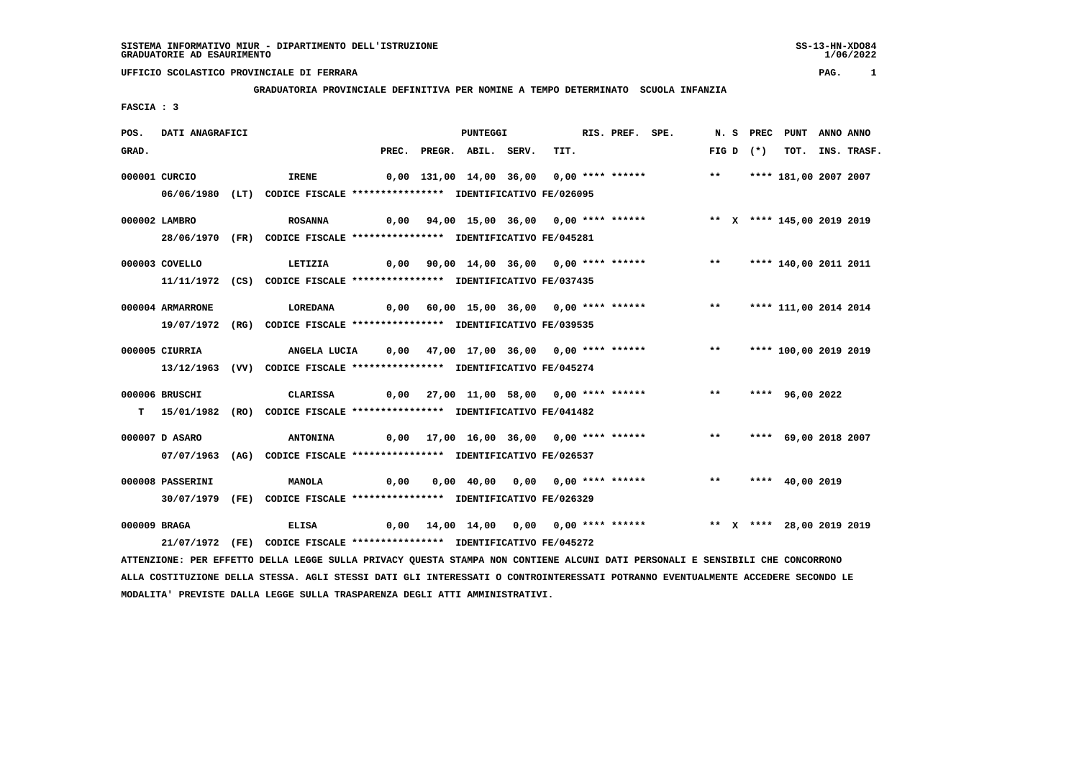## **UFFICIO SCOLASTICO PROVINCIALE DI FERRARA PAG. 1**

## **GRADUATORIA PROVINCIALE DEFINITIVA PER NOMINE A TEMPO DETERMINATO SCUOLA INFANZIA**

 **FASCIA : 3**

| POS.  | DATI ANAGRAFICI                                                         |  |                                                                                                                               |      | <b>PUNTEGGI</b>          |                                  |  |      |  | RIS. PREF. SPE. |                                                                         |  | N. S PREC   | PUNT ANNO ANNO        |                  |
|-------|-------------------------------------------------------------------------|--|-------------------------------------------------------------------------------------------------------------------------------|------|--------------------------|----------------------------------|--|------|--|-----------------|-------------------------------------------------------------------------|--|-------------|-----------------------|------------------|
| GRAD. |                                                                         |  |                                                                                                                               |      | PREC. PREGR. ABIL. SERV. |                                  |  | TIT. |  |                 |                                                                         |  | FIG D $(*)$ |                       | TOT. INS. TRASF. |
|       | 000001 CURCIO                                                           |  | <b>IRENE</b>                                                                                                                  |      |                          |                                  |  |      |  |                 | 0,00 131,00 14,00 36,00 0,00 **** ****** *** **                         |  |             | **** 181,00 2007 2007 |                  |
|       |                                                                         |  | 06/06/1980 (LT) CODICE FISCALE *************** IDENTIFICATIVO FE/026095                                                       |      |                          |                                  |  |      |  |                 |                                                                         |  |             |                       |                  |
|       | 000002 LAMBRO                                                           |  | <b>ROSANNA</b>                                                                                                                |      |                          |                                  |  |      |  |                 | 0,00 94,00 15,00 36,00 0,00 **** ****** * *** * * **** 145,00 2019 2019 |  |             |                       |                  |
|       |                                                                         |  | 28/06/1970 (FR) CODICE FISCALE *************** IDENTIFICATIVO FE/045281                                                       |      |                          |                                  |  |      |  |                 |                                                                         |  |             |                       |                  |
|       | 000003 COVELLO                                                          |  | LETIZIA                                                                                                                       |      |                          |                                  |  |      |  |                 | 0,00 90,00 14,00 36,00 0,00 **** ****** *** **                          |  |             | **** 140,00 2011 2011 |                  |
|       |                                                                         |  | 11/11/1972 (CS) CODICE FISCALE *************** IDENTIFICATIVO FE/037435                                                       |      |                          |                                  |  |      |  |                 |                                                                         |  |             |                       |                  |
|       | 000004 ARMARRONE                                                        |  | LOREDANA                                                                                                                      |      |                          |                                  |  |      |  |                 | 0,00 60,00 15,00 36,00 0,00 **** ****** *** **** 111,00 2014 2014       |  |             |                       |                  |
|       |                                                                         |  | 19/07/1972 (RG) CODICE FISCALE *************** IDENTIFICATIVO FE/039535                                                       |      |                          |                                  |  |      |  |                 |                                                                         |  |             |                       |                  |
|       | 000005 CIURRIA                                                          |  | ANGELA LUCIA 0,00 47,00 17,00 36,00 0,00 **** ****** **** *** **** 100,00 2019 2019                                           |      |                          |                                  |  |      |  |                 |                                                                         |  |             |                       |                  |
|       |                                                                         |  | 13/12/1963 (VV) CODICE FISCALE *************** IDENTIFICATIVO FE/045274                                                       |      |                          |                                  |  |      |  |                 |                                                                         |  |             |                       |                  |
|       | 000006 BRUSCHI                                                          |  | CLARISSA                                                                                                                      |      |                          |                                  |  |      |  |                 | 0,00 27,00 11,00 58,00 0,00 **** ****** *** **                          |  |             | **** 96,00 2022       |                  |
|       |                                                                         |  | T 15/01/1982 (RO) CODICE FISCALE *************** IDENTIFICATIVO FE/041482                                                     |      |                          |                                  |  |      |  |                 |                                                                         |  |             |                       |                  |
|       | 000007 D ASARO                                                          |  | <b>ANTONINA</b>                                                                                                               |      |                          |                                  |  |      |  |                 | 0,00 17,00 16,00 36,00 0,00 **** ****** *** **                          |  |             | **** 69,00 2018 2007  |                  |
|       |                                                                         |  | 07/07/1963 (AG) CODICE FISCALE *************** IDENTIFICATIVO FE/026537                                                       |      |                          |                                  |  |      |  |                 |                                                                         |  |             |                       |                  |
|       | 000008 PASSERINI                                                        |  | MANOLA                                                                                                                        | 0,00 |                          | 0,00 40,00 0,00 0,00 **** ****** |  |      |  |                 |                                                                         |  |             | ** **** 40,00 2019    |                  |
|       |                                                                         |  | 30/07/1979 (FE) CODICE FISCALE *************** IDENTIFICATIVO FE/026329                                                       |      |                          |                                  |  |      |  |                 |                                                                         |  |             |                       |                  |
|       |                                                                         |  |                                                                                                                               |      |                          |                                  |  |      |  |                 |                                                                         |  |             |                       |                  |
|       | 000009 BRAGA                                                            |  | <b>ELISA</b>                                                                                                                  |      |                          |                                  |  |      |  |                 | 0,00 14,00 14,00 0,00 0,00 **** ******     ** x **** 28,00 2019 2019    |  |             |                       |                  |
|       | 21/07/1972 (FE) CODICE FISCALE *************** IDENTIFICATIVO FE/045272 |  |                                                                                                                               |      |                          |                                  |  |      |  |                 |                                                                         |  |             |                       |                  |
|       |                                                                         |  | ATTENZIONE: PER EFFETTO DELLA LEGGE SULLA PRIVACY QUESTA STAMPA NON CONTIENE ALCUNI DATI PERSONALI E SENSIBILI CHE CONCORRONO |      |                          |                                  |  |      |  |                 |                                                                         |  |             |                       |                  |

 **ALLA COSTITUZIONE DELLA STESSA. AGLI STESSI DATI GLI INTERESSATI O CONTROINTERESSATI POTRANNO EVENTUALMENTE ACCEDERE SECONDO LE MODALITA' PREVISTE DALLA LEGGE SULLA TRASPARENZA DEGLI ATTI AMMINISTRATIVI.**